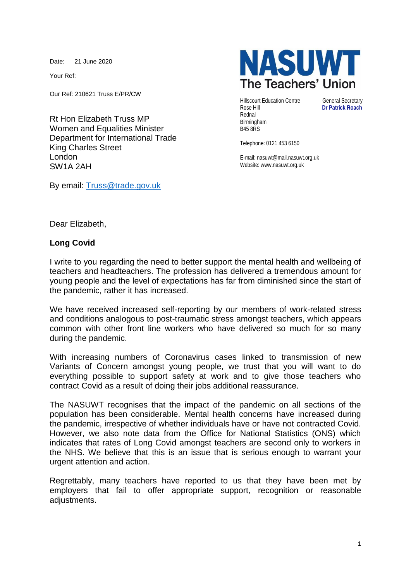Date: 21 June 2020

Your Ref:

Our Ref: 210621 Truss E/PR/CW

Rt Hon Elizabeth Truss MP Women and Equalities Minister Department for International Trade King Charles Street London SW1A 2AH

By email: [Truss@trade.gov.uk](mailto:Truss@trade.gov.uk)



**Hillscourt Education Centre General Secretary** Rose Hill **Dr Patrick Roach** Rednal Birmingham B45 8RS

Telephone: 0121 453 6150

E-mail: nasuwt@mail.nasuwt.org.uk Website: www.nasuwt.org.uk

Dear Elizabeth,

## **Long Covid**

I write to you regarding the need to better support the mental health and wellbeing of teachers and headteachers. The profession has delivered a tremendous amount for young people and the level of expectations has far from diminished since the start of the pandemic, rather it has increased.

We have received increased self-reporting by our members of work-related stress and conditions analogous to post-traumatic stress amongst teachers, which appears common with other front line workers who have delivered so much for so many during the pandemic.

With increasing numbers of Coronavirus cases linked to transmission of new Variants of Concern amongst young people, we trust that you will want to do everything possible to support safety at work and to give those teachers who contract Covid as a result of doing their jobs additional reassurance.

The NASUWT recognises that the impact of the pandemic on all sections of the population has been considerable. Mental health concerns have increased during the pandemic, irrespective of whether individuals have or have not contracted Covid. However, we also note data from the Office for National Statistics (ONS) which indicates that rates of Long Covid amongst teachers are second only to workers in the NHS. We believe that this is an issue that is serious enough to warrant your urgent attention and action.

Regrettably, many teachers have reported to us that they have been met by employers that fail to offer appropriate support, recognition or reasonable adjustments.